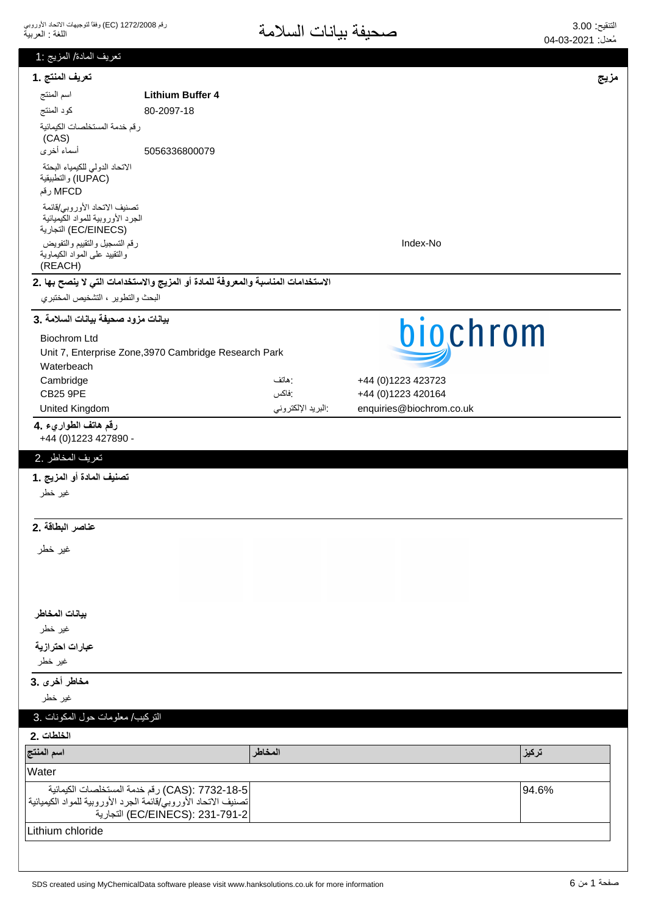| تعريف المادة/ المزيج :1                                                                   |                                                                                   |                   |                          |       |
|-------------------------------------------------------------------------------------------|-----------------------------------------------------------------------------------|-------------------|--------------------------|-------|
| تعريف المنتج .1                                                                           |                                                                                   |                   |                          | مزيج  |
| اسم المنتج                                                                                | <b>Lithium Buffer 4</b>                                                           |                   |                          |       |
| كود المنتج                                                                                | 80-2097-18                                                                        |                   |                          |       |
| رقم خدمة المستخلصات الكيمائية<br>(CAS)                                                    |                                                                                   |                   |                          |       |
| أسماء أخرى                                                                                | 5056336800079                                                                     |                   |                          |       |
| الاتحاد الدولى للكيمياء البحتة<br>(IUPAC) والتطبيقية<br>MFCD رقم                          |                                                                                   |                   |                          |       |
| تصنيف الاتحاد الأوروبي/قائمة<br>الجرد الأوروبية للمواد الكيميائية<br>(EC/EINECS) التجارية |                                                                                   |                   |                          |       |
| رقم التسجيل والتقييم والتفويض<br>والنقييد علىى المواد الكيماوية<br>(REACH)                |                                                                                   |                   | Index-No                 |       |
|                                                                                           | الاستخدامات المناسبة والمعروفة للمادة أو المزيج والاستخدامات التي لا ينصح بها .2  |                   |                          |       |
| البحث والنطوير ، التشخيص المختبري                                                         |                                                                                   |                   |                          |       |
| بيانات مزود صحيفة بيانات السلامة .3                                                       |                                                                                   |                   | biochrom                 |       |
| <b>Biochrom Ltd</b>                                                                       |                                                                                   |                   |                          |       |
| Waterbeach                                                                                | Unit 7, Enterprise Zone, 3970 Cambridge Research Park                             |                   |                          |       |
| Cambridge                                                                                 |                                                                                   | : هاتف            | +44 (0)1223 423723       |       |
| <b>CB25 9PE</b>                                                                           |                                                                                   | :فاكس             | +44 (0)1223 420164       |       |
| United Kingdom                                                                            |                                                                                   | البريد الإلكتروني | enquiries@biochrom.co.uk |       |
| رقم هاتف الطواريء .4<br>+44 (0) 1223 427890 -                                             |                                                                                   |                   |                          |       |
| تعريف المخاطر .2                                                                          |                                                                                   |                   |                          |       |
| تصنيف المادة أو المزيج .1                                                                 |                                                                                   |                   |                          |       |
| غير خطر                                                                                   |                                                                                   |                   |                          |       |
|                                                                                           |                                                                                   |                   |                          |       |
| عناصر البطاقة .2                                                                          |                                                                                   |                   |                          |       |
| غير خطر                                                                                   |                                                                                   |                   |                          |       |
|                                                                                           |                                                                                   |                   |                          |       |
|                                                                                           |                                                                                   |                   |                          |       |
| بيانات المخاطر                                                                            |                                                                                   |                   |                          |       |
| غير خطر                                                                                   |                                                                                   |                   |                          |       |
| عبارات احترازية                                                                           |                                                                                   |                   |                          |       |
| غير خطر                                                                                   |                                                                                   |                   |                          |       |
| مخاطر أخرى .3                                                                             |                                                                                   |                   |                          |       |
| غير خطر                                                                                   |                                                                                   |                   |                          |       |
| التركيب/ معلومات حول المكونات .3                                                          |                                                                                   |                   |                          |       |
| الخلطات .2                                                                                |                                                                                   |                   |                          |       |
| اسم المنتج                                                                                |                                                                                   | المخاطر           |                          | تركيز |
| Water                                                                                     |                                                                                   |                   |                          |       |
|                                                                                           |                                                                                   |                   |                          |       |
| تصنيف الاتحاد الأوروبي/قائمة الجرد الأوروبية للمواد الكيميائية                            | CAS): 7732-18-5) رقم خدمة المستخلصات الكيمائية<br>EC/EINECS): 231-791-2) التجارية |                   |                          | 94.6% |
| Lithium chloride                                                                          |                                                                                   |                   |                          |       |
|                                                                                           |                                                                                   |                   |                          |       |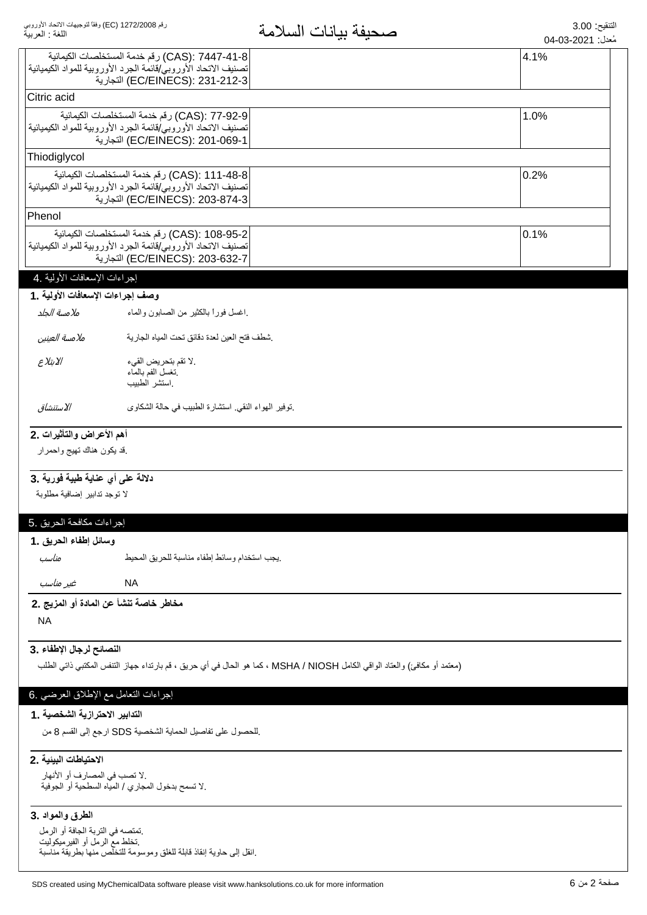|                                                                   |                                                                                                                                                    | <sup>ستن</sup> . 2011-00-01 |
|-------------------------------------------------------------------|----------------------------------------------------------------------------------------------------------------------------------------------------|-----------------------------|
|                                                                   | CAS): 7447-41-8) رقم خدمة المستخلصات الكيمائية<br>تصنيف الاتحاد الأوروبي/قائمة الجرد الأوروبية للمواد الكيميائية                                   | 4.1%                        |
|                                                                   | EC/EINECS): 231-212-3) التجارية                                                                                                                    |                             |
| Citric acid                                                       |                                                                                                                                                    |                             |
|                                                                   | CAS): 77-92-9) رقم خدمة المستخلصات الكيمائية<br>تصنيف الاتحاد الأوروبي/قائمة الجرد الأوروبية للمواد الكيميائية<br>EC/EINECS): 201-069-1) التجارية  | 1.0%                        |
| Thiodiglycol                                                      |                                                                                                                                                    |                             |
|                                                                   | CAS): 111-48-8) رقم خدمة المستخلصات الكيمائية<br>تصنيف الاتحاد الأوروبي/قائمة الجرد الأوروبية للمواد الكيميائية<br>EC/EINECS): 203-874-3) التجارية | 0.2%                        |
| Phenol                                                            |                                                                                                                                                    |                             |
|                                                                   | CAS): 108-95-2) رقم خدمة المستخلصات الكيمائية<br>تصنيف الاتحاد الأوروبي/قائمة الجرد الأوروبية للمواد الكيميائية<br>EC/EINECS): 203-632-7) التجارية | 0.1%                        |
| إجراءات الإسعافات الأولية .4                                      |                                                                                                                                                    |                             |
| وصف إجراءات الإسعافات الأولية .1                                  |                                                                                                                                                    |                             |
| ملامسة الجلد                                                      | اغسل فورأ بالكثير من الصابون والماء                                                                                                                |                             |
| ملامسة العينين                                                    | شطف فتح العين لعدة دقائق نحت المياه الجارية                                                                                                        |                             |
| الابتلاع                                                          | .لا تقم بتحريض القيء<br>نغسل الفم بالمماء<br>استشر الطبيب                                                                                          |                             |
| الاستنشاق                                                         | نوفير الهواء النقي استشارة الطبيب في حالة الشكاوى                                                                                                  |                             |
| أهم الأعراض والتأثيرات .2                                         |                                                                                                                                                    |                             |
| فد يكون هناك تهيج واحمرار                                         |                                                                                                                                                    |                             |
| دلالة على أي عناية طبية فورية .3                                  |                                                                                                                                                    |                             |
| لا توجد تدابير إضافية مطلوبة                                      |                                                                                                                                                    |                             |
|                                                                   |                                                                                                                                                    |                             |
| إجراءات مكافحة الحريق .5                                          |                                                                                                                                                    |                             |
| وسائل إطفاء الحريق .1                                             |                                                                                                                                                    |                             |
| مناسب                                                             | يجب استخدام وسائط إطفاء مناسبة للحريق المحيط                                                                                                       |                             |
| غیر مناسب                                                         | <b>NA</b>                                                                                                                                          |                             |
| مخاطر خاصة تنشأ عن المادة أو المزيج .2                            |                                                                                                                                                    |                             |
| <b>NA</b>                                                         |                                                                                                                                                    |                             |
| النصائح لرجال الإطفاء .3                                          |                                                                                                                                                    |                             |
|                                                                   | (معتمد أو مكافئ) والعتاد الواقي الكامل MSHA / NIOSH ، كما هو الحال في أي حريق ، قم بارتداء جهاز التنفس المكتبي ذاتي الطلب                          |                             |
| إجراءات النعامل مع الإطلاق العرضي .6                              |                                                                                                                                                    |                             |
| التدابير الاحترازية الشخصية . 1                                   | للحصول على تفاصيل الحماية الشخصية SDS ارجع إلى القسم 8 من                                                                                          |                             |
|                                                                   |                                                                                                                                                    |                             |
| الاحتياطات البينية .2                                             |                                                                                                                                                    |                             |
| .لا تصب في المصارف أو الأنهار                                     | .لا تسمح بدخول المجاري / الميّاه السطحية أو الجوفية                                                                                                |                             |
| الطرق والمواد .3                                                  |                                                                                                                                                    |                             |
| تمتصه في التربة الجافة أو الرمل<br>نخلط معّ الرمل أو الفيرميكوليت | انقل إلى حاوية إنقاذ قابلة للغلق وموسومة للتخلص منها بطريقة مناسبة                                                                                 |                             |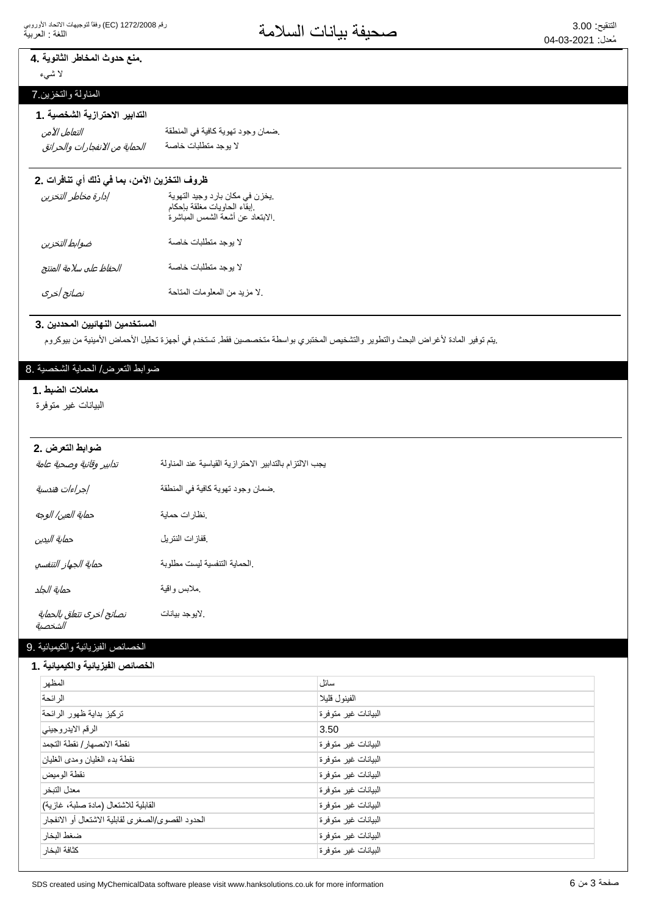# ـ منع حدوث المخاطر الثانوية ـ 4

لا شيء

# المناولة والنخزين 7

## التدابير الاحترازية الشخصية .1

͙̜̺͙ͯͅ͵̵͙̼͙ͣ̓͆̚͜ͳ̻̻̜̺͙͂̀̓ ΔλΎΧΕΎΑϠρΗϣΩΟϭϳϻ التعامل الآمن

ضمان وجود تهوية كافية في المنطقة

# ظروف التخزين الآمن، بما في ذلك أي تنافرات .2

| إدارة مخاطر التخزين     | يخزن في مكان بارد وجيد التهوية<br>إبقاء الحاويات مغلقة بإحكام<br>الابتعاد عن أشعة الشمس المباشرة. |
|-------------------------|---------------------------------------------------------------------------------------------------|
| ضوابط التخزين           | لا بوجد متطلبات خاصة                                                                              |
| الحفاظ على سلامة المنتج | لا بوجد متطلبات خاصة                                                                              |
| نصائح أخرى              | لا مزيد من المعلومات المتاحة                                                                      |

#### المستخدمين النهائيين المحددين .3

.يتم توفير المادة لأغراض البحث والتطوير والتشخيص المختبري بواسطة متخصصين فقط تستخدم في أجهزة تحليل الأحماض الأمينية من بيوكروم

### ضوابط النعرض/ الحماية الشخصية .8

#### معاملات الضبط .1

البيانات غير متوفرة

### **ضوابط التعرض .2**

| تدابير وقائية وصحية عامة             | بجب الالتزام بالتدابير الاحترازية القياسية عند المناولة |
|--------------------------------------|---------------------------------------------------------|
| إجراءات هندسية                       | ضمان وجود تهوية كافية في المنطقة                        |
| حماية العين/ الوجه                   | نظارات حماية                                            |
| حماية اليدين                         | ففازات النتريل                                          |
| حماية الجهاز التنفسي                 | الحماية التنفسية ليست مطلوبة                            |
| حماية الجلد                          | ملابس واقية                                             |
| نصائح أخرى تتعلق بالحماية<br>الشخصية | لايوجد بيانات                                           |

# الخصائص الفيزيائية والكيميائية .9

#### الخصائص الفيزيائية والكيميائية **.** 1

| المظهر                                            | سائل                |
|---------------------------------------------------|---------------------|
| الر ائحة                                          | الفينول قليلا       |
| تركيز بداية ظهور الرائحة                          | البيانات غير متوفرة |
| الرقم الايدر وجيني                                | 3.50                |
| نقطة الانصهار / نقطة التجمد                       | البيانات غير متوفرة |
| نقطة بدء الغليان ومدى الغليان                     | البيانات غير متوفرة |
| نقطة الو مبض                                      | البيانات غير متوفرة |
| معدل التبخر                                       | البيانات غير متوفرة |
| القابلية للاشتعال (مادة صلبة، غازية)              | البيانات غير متوفرة |
| الحدود القصوى/الصغرى لقابلية الاشتعال أو الانفجار | البيانات غير متوفرة |
| ضغط البخار                                        | البيانات غير متوفرة |
| كثافة البخار                                      | البيانات غير متوفرة |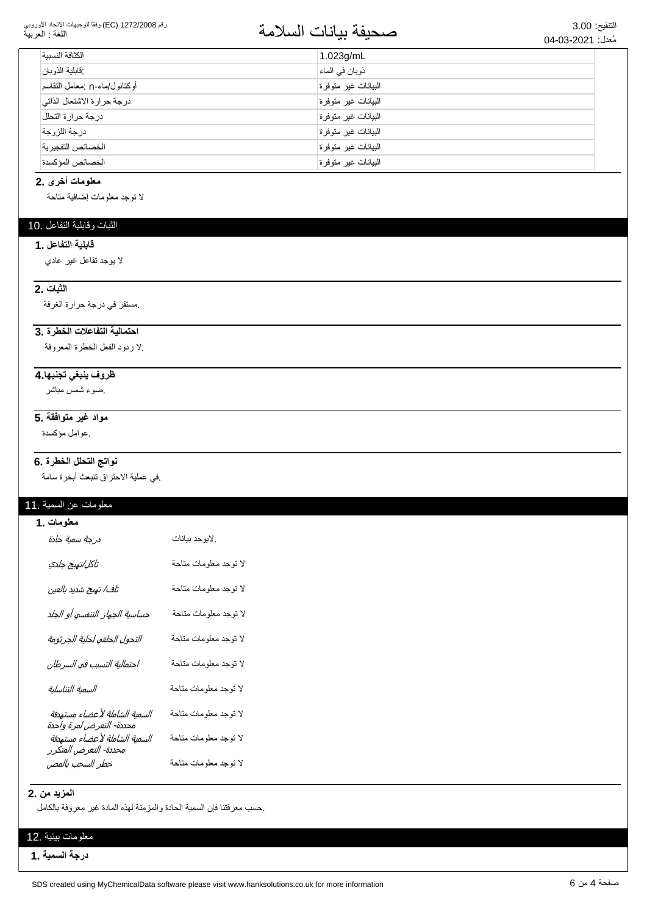#### رقم 1272/2008 (EC) وفقاً لتوجيهات الاتحاد الأوروبي اللغة : العربية

# التنقيع: 3.00<br>مُعدان 2021-03-400

| الكثافة النسسة                | $1.023$ g/mL        |
|-------------------------------|---------------------|
| فخابلية الذوبان               | ذوبان في الماء      |
| أوكتانول/ماء-n :معامل التقاسم | البيانات غير متوفرة |
| درجة حرارة الاشتعال الذاتي    | البيانات غير متوفرة |
| درجة حرارة التحلل             | البيانات غير متوفرة |
| در جة اللز وجة                | البيانات غير متوفرة |
| الخصائص التفجير ية            | البيانات غير متوفرة |
| الخصائص المؤكسدة              | البيانات غير متوفرة |

#### معلومات أخرى .2

لا نوجد معلومات إضافية متاحة

### الثبات وقابلية التفاعل .10

#### قابلية التفاعل .1

لا بوجد تفاعل غير عادي

#### **الثبات .2**

مستقر في درجة حرارة الغرفة.

# احتمالية التفاعلات الخطرة.3

لا ردود الفعل الخطرة المعروفة.

#### <mark>ظروف ينبغي تجنبها 4</mark>

ضوء شمس مباشر

# <mark>مواد غير متوافقة .5</mark>

ِ عوامل مؤكسدة.

### نواتج التحلل الخطرة .6

في عملية الاحتراق تتبعث أبخرة سامة.

# معلومات عن السمية .11

| <b>معلومات .1</b><br>د <i>رجة سمية حادة</i>               | لايوجد بيانات.        |
|-----------------------------------------------------------|-----------------------|
| تآكل/تهيج جلدي                                            | لا توجد معلومات متاحة |
| تلف/ تهيج شديد بالعين                                     | لا توجد معلومات متاحة |
| حساسية الجهاز التنفسي أو الجلد                            | لا توجد معلومات متاحة |
| التحول الخلقي لخلية الجرثومة                              | لا توجد معلومات متاحة |
| احتمالية التسبب في السرطان                                | لا توجد معلومات متاحة |
| السمية التناسلية                                          | لا توجد معلومات متاحة |
| السمية الشاملة لأعضاء مستهدفة<br>محددة- التعرض لمرة واحدة | لا توجد معلومات متاحة |
| السمية الشاملة لأعضاء مستهدفة<br>محددة- التعرض المتكرر    | لا توجد معلومات متاحة |
| خطر السحب بالمص                                           | لا توجد معلومات متاحة |

#### **المزيد من .2**

حسب معرفتنا فإن السمية الحادة والمزمنة لهذه المادة غير معروفة بالكامل

### معلومات بيئية .12

**درجة السمية .1**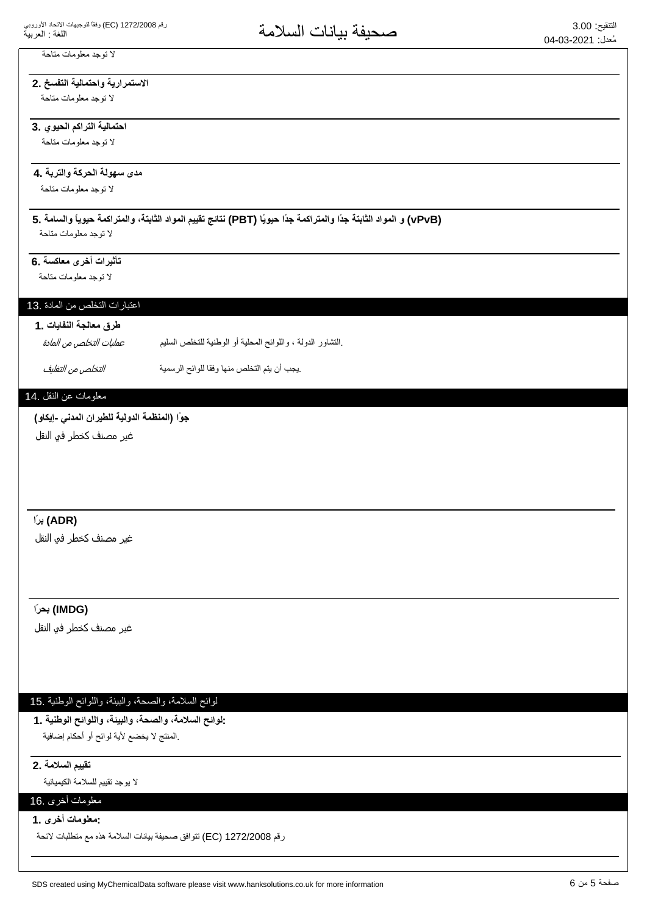# لا توجد معلومات متاحة

# الاستمرارية واحتمالية التفسخ .2

لا توجد معلومات متاحة

## احتمالية التراكم الحيوي .3

لا توجد معلومات متاحة

# مدى سهولة الحركة والتربة .**4**

لا توجد معلومات متاحة

# **5. ΔϣΎγϟϭ˱ΎϳϭϳΣΔϣϛέΗϣϟϭˬΔΗΑΎΛϟΩϭϣϟϡϳϳϘΗΞΎΗϧ (PBT) Ύ˱ϳϭϳΣ˱ΩΟΔϣϛέΗϣϟϭ˱ΩΟΔΗΑΎΛϟΩϭϣϟϭ (vPvB)**

لا توجد معلومات متاحة

# تأثيرات أخرى معاكسة .6

لا توجد معلومات متاحة

# اعتبارات التخلص من المادة .13

# طرق معالجة النفايات .1

بالتشاور الدولة ، واللوائح المحلية أو الوطنية للتخلص السليم. عمليات التخلص من المادة

ِيجِبِ أن يتم التخلص منها وفقا للوائح الرسمية مستقدم التخلص م*ن التغليف*.

# معلومات عن النقل .14

# جوًا (المنظمة الدولية للطيران المدن*ى* -إيكاو)

غیر مصنف کخطر فو النقل

# **˱έΑ (ADR)**

غير مصنف كخطر في النقل

# **˱έΣΑ (IMDG)**

غیر مصنف کخطر فی النقل

# لوائح السلامة، والصحة، والبيئة، واللوائح الوطنية .15

**1. ΔϳϧρϭϟϭϠϟϭˬΔϳΑϟϭˬΔΣλϟϭˬΔϣϼγϟϭϟ:** المنتج لا يخضع لأية لوائح أو أحكام إضافية.

#### **تقييم السلامة .2**

لا بو جد تقييم للسلامة الكيميائية

# معلومات أخرى .16 **1. ϯέΧΕΎϣϭϠόϣ:**

رقم 1272/2008 EC) تتوافق صحيفة بيانات السلامة هذه مع متطلبات لائحة